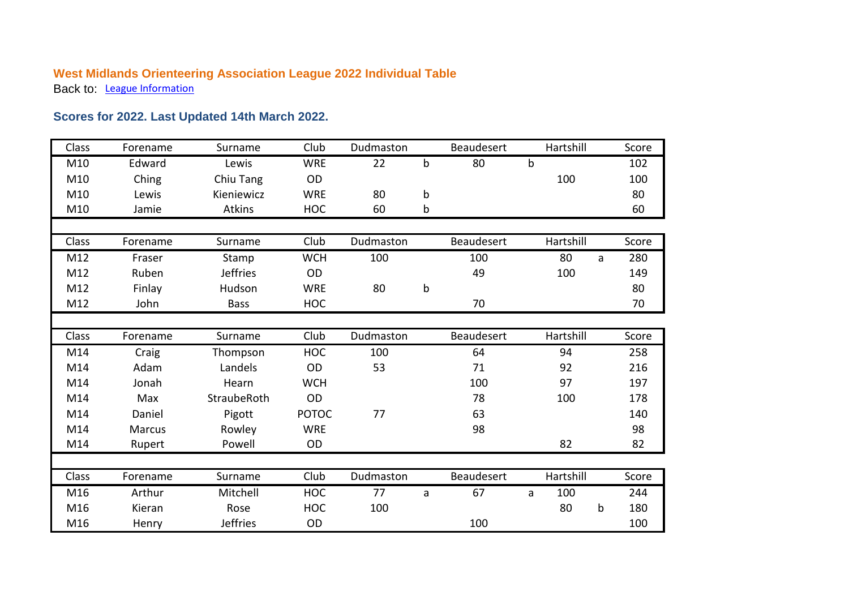## **West Midlands Orienteering Association League 2022 Individual Table** Back to: [League Information](http://www.wmoa.org.uk/wp/west-midlands-league)

## **Scores for 2022. Last Updated 14th March 2022.**

| Class        | Forename      | Surname         | Club         | Dudmaston |              | <b>Beaudesert</b> |             | Hartshill |   | Score |
|--------------|---------------|-----------------|--------------|-----------|--------------|-------------------|-------------|-----------|---|-------|
| M10          | Edward        | Lewis           | <b>WRE</b>   | 22        | $\mathsf b$  | 80                | $\mathsf b$ |           |   | 102   |
| M10          | Ching         | Chiu Tang       | OD           |           |              |                   |             | 100       |   | 100   |
| M10          | Lewis         | Kieniewicz      | <b>WRE</b>   | 80        | b            |                   |             |           |   | 80    |
| M10          | Jamie         | Atkins          | <b>HOC</b>   | 60        | b            |                   |             |           |   | 60    |
|              |               |                 |              |           |              |                   |             |           |   |       |
| Class        | Forename      | Surname         | Club         | Dudmaston |              | <b>Beaudesert</b> |             | Hartshill |   | Score |
| M12          | Fraser        | Stamp           | <b>WCH</b>   | 100       |              | 100               |             | 80        | a | 280   |
| M12          | Ruben         | <b>Jeffries</b> | OD           |           |              | 49                |             | 100       |   | 149   |
| M12          | Finlay        | Hudson          | <b>WRE</b>   | 80        | $\mathsf b$  |                   |             |           |   | 80    |
| M12          | John          | <b>Bass</b>     | <b>HOC</b>   |           |              | 70                |             |           |   | 70    |
|              |               |                 |              |           |              |                   |             |           |   |       |
| Class        | Forename      | Surname         | Club         | Dudmaston |              | <b>Beaudesert</b> |             | Hartshill |   | Score |
| M14          | Craig         | Thompson        | <b>HOC</b>   | 100       |              | 64                |             | 94        |   | 258   |
| M14          | Adam          | Landels         | OD           | 53        |              | 71                |             | 92        |   | 216   |
| M14          | Jonah         | Hearn           | <b>WCH</b>   |           |              | 100               |             | 97        |   | 197   |
| M14          | Max           | StraubeRoth     | OD           |           |              | 78                |             | 100       |   | 178   |
| M14          | Daniel        | Pigott          | <b>POTOC</b> | 77        |              | 63                |             |           |   | 140   |
| M14          | <b>Marcus</b> | Rowley          | <b>WRE</b>   |           |              | 98                |             |           |   | 98    |
| M14          | Rupert        | Powell          | <b>OD</b>    |           |              |                   |             | 82        |   | 82    |
|              |               |                 |              |           |              |                   |             |           |   |       |
| <b>Class</b> | Forename      | Surname         | Club         | Dudmaston |              | Beaudesert        |             | Hartshill |   | Score |
| M16          | Arthur        | Mitchell        | <b>HOC</b>   | 77        | $\mathsf{a}$ | 67                | a           | 100       |   | 244   |
| M16          | Kieran        | Rose            | <b>HOC</b>   | 100       |              |                   |             | 80        | b | 180   |
| M16          | Henry         | <b>Jeffries</b> | OD           |           |              | 100               |             |           |   | 100   |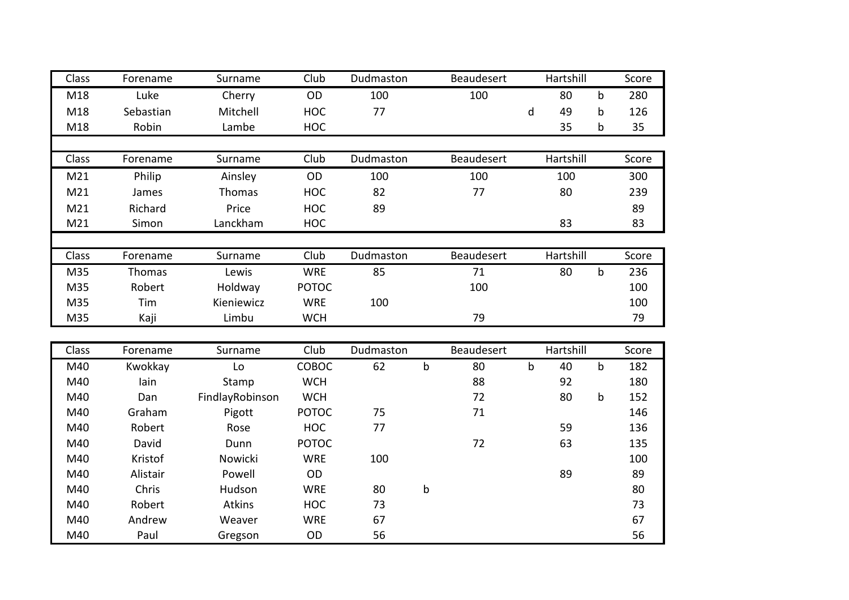| Class           | Forename  | Surname         | Club         | Dudmaston |             | <b>Beaudesert</b> |             | Hartshill |              | Score |
|-----------------|-----------|-----------------|--------------|-----------|-------------|-------------------|-------------|-----------|--------------|-------|
| M18             | Luke      | Cherry          | <b>OD</b>    | 100       |             | 100               |             | 80        | $\mathsf b$  | 280   |
| M18             | Sebastian | Mitchell        | <b>HOC</b>   | 77        |             |                   | d           | 49        | b            | 126   |
| M18             | Robin     | Lambe           | <b>HOC</b>   |           |             |                   |             | 35        | b            | 35    |
|                 |           |                 |              |           |             |                   |             |           |              |       |
| Class           | Forename  | Surname         | Club         | Dudmaston |             | <b>Beaudesert</b> |             | Hartshill |              | Score |
| M21             | Philip    | Ainsley         | OD           | 100       |             | 100               |             | 100       |              | 300   |
| M21             | James     | Thomas          | <b>HOC</b>   | 82        |             | 77                |             | 80        |              | 239   |
| M <sub>21</sub> | Richard   | Price           | <b>HOC</b>   | 89        |             |                   |             |           |              | 89    |
| M21             | Simon     | Lanckham        | <b>HOC</b>   |           |             |                   |             | 83        |              | 83    |
|                 |           |                 |              |           |             |                   |             |           |              |       |
| Class           | Forename  | Surname         | Club         | Dudmaston |             | <b>Beaudesert</b> |             | Hartshill |              | Score |
| M35             | Thomas    | Lewis           | <b>WRE</b>   | 85        |             | 71                |             | 80        | $\mathsf{b}$ | 236   |
| M35             | Robert    | Holdway         | <b>POTOC</b> |           |             | 100               |             |           |              | 100   |
| M35             | Tim       | Kieniewicz      | <b>WRE</b>   | 100       |             |                   |             |           |              | 100   |
| M35             | Kaji      | Limbu           | <b>WCH</b>   |           |             | 79                |             |           |              | 79    |
|                 |           |                 |              |           |             |                   |             |           |              |       |
| Class           | Forename  | Surname         | Club         | Dudmaston |             | <b>Beaudesert</b> |             | Hartshill |              | Score |
| M40             | Kwokkay   | Lo              | COBOC        | 62        | $\mathsf b$ | 80                | $\mathbf b$ | 40        | $\mathsf{b}$ | 182   |
| M40             | lain      | Stamp           | <b>WCH</b>   |           |             | 88                |             | 92        |              | 180   |
| M40             | Dan       | FindlayRobinson | <b>WCH</b>   |           |             | 72                |             | 80        | $\mathsf b$  | 152   |
| M40             | Graham    | Pigott          | <b>POTOC</b> | 75        |             | 71                |             |           |              | 146   |
| M40             | Robert    | Rose            | <b>HOC</b>   | 77        |             |                   |             | 59        |              | 136   |
| M40             | David     | Dunn            | <b>POTOC</b> |           |             | 72                |             | 63        |              | 135   |
| M40             | Kristof   | Nowicki         | <b>WRE</b>   | 100       |             |                   |             |           |              | 100   |
| M40             | Alistair  | Powell          | OD           |           |             |                   |             | 89        |              | 89    |
| M40             | Chris     | Hudson          | <b>WRE</b>   | 80        | $\mathsf b$ |                   |             |           |              | 80    |
| M40             | Robert    | Atkins          | <b>HOC</b>   | 73        |             |                   |             |           |              | 73    |
| M40             | Andrew    | Weaver          | <b>WRE</b>   | 67        |             |                   |             |           |              | 67    |
| M40             | Paul      | Gregson         | OD           | 56        |             |                   |             |           |              | 56    |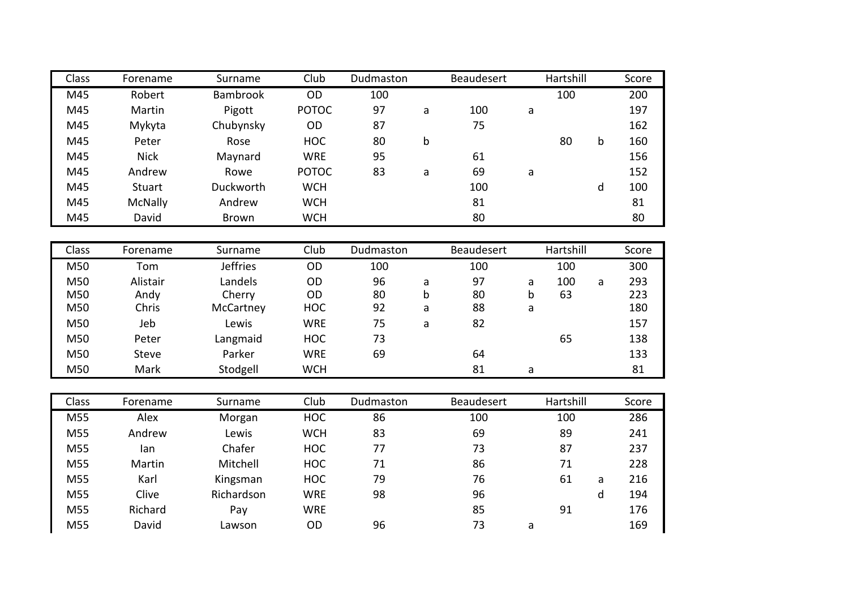| Class | Forename     | Surname         | Club         | Dudmaston |             | <b>Beaudesert</b> |   | Hartshill |   | Score |
|-------|--------------|-----------------|--------------|-----------|-------------|-------------------|---|-----------|---|-------|
| M45   | Robert       | <b>Bambrook</b> | OD           | 100       |             |                   |   | 100       |   | 200   |
| M45   | Martin       | Pigott          | <b>POTOC</b> | 97        | a           | 100               | a |           |   | 197   |
| M45   | Mykyta       | Chubynsky       | OD           | 87        |             | 75                |   |           |   | 162   |
| M45   | Peter        | Rose            | <b>HOC</b>   | 80        | $\sf b$     |                   |   | 80        | b | 160   |
| M45   | <b>Nick</b>  | Maynard         | <b>WRE</b>   | 95        |             | 61                |   |           |   | 156   |
| M45   | Andrew       | Rowe            | <b>POTOC</b> | 83        | a           | 69                | a |           |   | 152   |
| M45   | Stuart       | Duckworth       | <b>WCH</b>   |           |             | 100               |   |           | d | 100   |
| M45   | McNally      | Andrew          | <b>WCH</b>   |           |             | 81                |   |           |   | 81    |
| M45   | David        | <b>Brown</b>    | <b>WCH</b>   |           |             | 80                |   |           |   | 80    |
|       |              |                 |              |           |             |                   |   |           |   |       |
| Class | Forename     | Surname         | Club         | Dudmaston |             | Beaudesert        |   | Hartshill |   | Score |
| M50   | Tom          | <b>Jeffries</b> | OD           | 100       |             | 100               |   | 100       |   | 300   |
| M50   | Alistair     | Landels         | OD           | 96        | a           | 97                | a | 100       | a | 293   |
| M50   | Andy         | Cherry          | OD           | 80        | $\mathsf b$ | 80                | b | 63        |   | 223   |
| M50   | Chris        | McCartney       | <b>HOC</b>   | 92        | a           | 88                | a |           |   | 180   |
| M50   | Jeb          | Lewis           | <b>WRE</b>   | 75        | a           | 82                |   |           |   | 157   |
| M50   | Peter        | Langmaid        | <b>HOC</b>   | 73        |             |                   |   | 65        |   | 138   |
| M50   | <b>Steve</b> | Parker          | <b>WRE</b>   | 69        |             | 64                |   |           |   | 133   |
| M50   | Mark         | Stodgell        | <b>WCH</b>   |           |             | 81                | a |           |   | 81    |
|       |              |                 |              |           |             |                   |   |           |   |       |
| Class | Forename     | Surname         | Club         | Dudmaston |             | Beaudesert        |   | Hartshill |   | Score |
| M55   | Alex         | Morgan          | <b>HOC</b>   | 86        |             | 100               |   | 100       |   | 286   |
| M55   | Andrew       | Lewis           | <b>WCH</b>   | 83        |             | 69                |   | 89        |   | 241   |
| M55   | lan          | Chafer          | <b>HOC</b>   | 77        |             | 73                |   | 87        |   | 237   |
| M55   | Martin       | Mitchell        | <b>HOC</b>   | 71        |             | 86                |   | 71        |   | 228   |
| M55   | Karl         | Kingsman        | <b>HOC</b>   | 79        |             | 76                |   | 61        | a | 216   |
| M55   | Clive        | Richardson      | <b>WRE</b>   | 98        |             | 96                |   |           | d | 194   |
| M55   | Richard      | Pay             | <b>WRE</b>   |           |             | 85                |   | 91        |   | 176   |
| M55   | David        | Lawson          | OD           | 96        |             | 73                | a |           |   | 169   |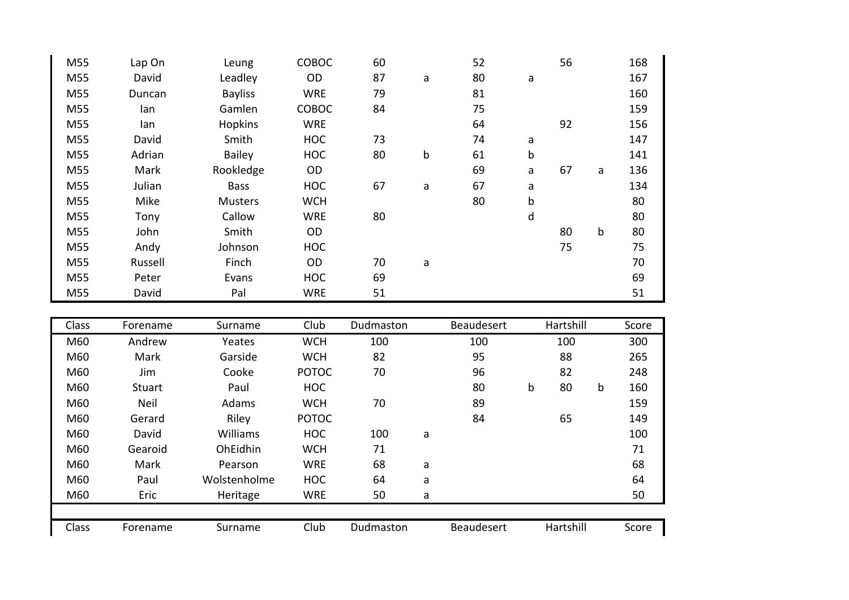| M55 | Lap On  | Leung          | COBOC      | 60 |         | 52 |   | 56 |             | 168 |
|-----|---------|----------------|------------|----|---------|----|---|----|-------------|-----|
| M55 | David   | Leadley        | OD         | 87 | a       | 80 | a |    |             | 167 |
| M55 | Duncan  | <b>Bayliss</b> | <b>WRE</b> | 79 |         | 81 |   |    |             | 160 |
| M55 | lan     | Gamlen         | COBOC      | 84 |         | 75 |   |    |             | 159 |
| M55 | lan     | Hopkins        | <b>WRE</b> |    |         | 64 |   | 92 |             | 156 |
| M55 | David   | Smith          | <b>HOC</b> | 73 |         | 74 | a |    |             | 147 |
| M55 | Adrian  | <b>Bailey</b>  | <b>HOC</b> | 80 | $\sf b$ | 61 | b |    |             | 141 |
| M55 | Mark    | Rookledge      | OD         |    |         | 69 | a | 67 | a           | 136 |
| M55 | Julian  | <b>Bass</b>    | <b>HOC</b> | 67 | a       | 67 | a |    |             | 134 |
| M55 | Mike    | <b>Musters</b> | <b>WCH</b> |    |         | 80 | b |    |             | 80  |
| M55 | Tony    | Callow         | <b>WRE</b> | 80 |         |    | d |    |             | 80  |
| M55 | John    | Smith          | OD         |    |         |    |   | 80 | $\mathsf b$ | 80  |
| M55 | Andy    | Johnson        | <b>HOC</b> |    |         |    |   | 75 |             | 75  |
| M55 | Russell | Finch          | OD         | 70 | a       |    |   |    |             | 70  |
| M55 | Peter   | Evans          | <b>HOC</b> | 69 |         |    |   |    |             | 69  |
| M55 | David   | Pal            | <b>WRE</b> | 51 |         |    |   |    |             | 51  |

| Class | Forename    | Surname      | Club         | Dudmaston |   | <b>Beaudesert</b> |   | Hartshill |   | Score |
|-------|-------------|--------------|--------------|-----------|---|-------------------|---|-----------|---|-------|
| M60   | Andrew      | Yeates       | <b>WCH</b>   | 100       |   | 100               |   | 100       |   | 300   |
| M60   | Mark        | Garside      | <b>WCH</b>   | 82        |   | 95                |   | 88        |   | 265   |
| M60   | Jim         | Cooke        | <b>POTOC</b> | 70        |   | 96                |   | 82        |   | 248   |
| M60   | Stuart      | Paul         | <b>HOC</b>   |           |   | 80                | b | 80        | b | 160   |
| M60   | <b>Neil</b> | Adams        | <b>WCH</b>   | 70        |   | 89                |   |           |   | 159   |
| M60   | Gerard      | Riley        | <b>POTOC</b> |           |   | 84                |   | 65        |   | 149   |
| M60   | David       | Williams     | <b>HOC</b>   | 100       | a |                   |   |           |   | 100   |
| M60   | Gearoid     | OhEidhin     | <b>WCH</b>   | 71        |   |                   |   |           |   | 71    |
| M60   | Mark        | Pearson      | <b>WRE</b>   | 68        | a |                   |   |           |   | 68    |
| M60   | Paul        | Wolstenholme | <b>HOC</b>   | 64        | a |                   |   |           |   | 64    |
| M60   | Eric        | Heritage     | <b>WRE</b>   | 50        | a |                   |   |           |   | 50    |
|       |             |              |              |           |   |                   |   |           |   |       |
| Class | Forename    | Surname      | Club         | Dudmaston |   | <b>Beaudesert</b> |   | Hartshill |   | Score |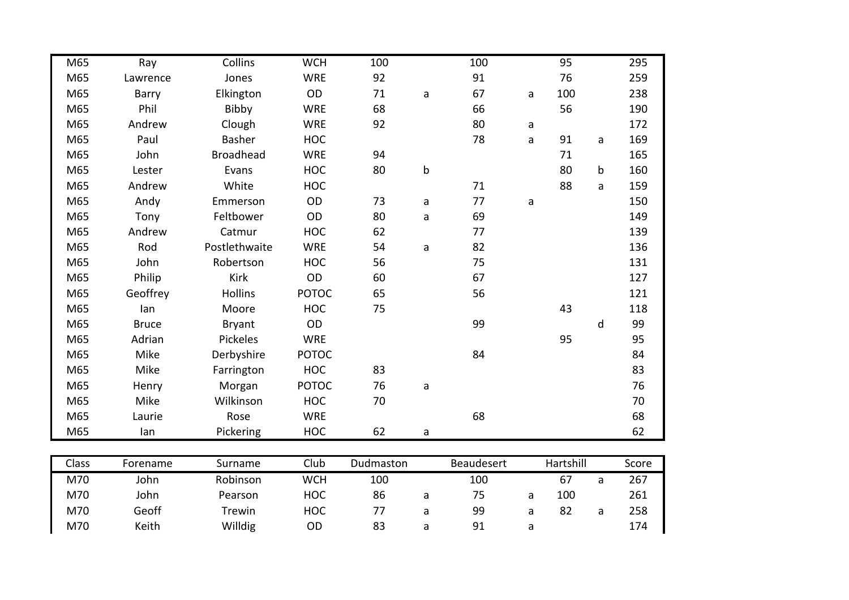| M65   | Ray          | Collins          | <b>WCH</b>   | 100       |              | 100        |   | 95        |   | 295   |
|-------|--------------|------------------|--------------|-----------|--------------|------------|---|-----------|---|-------|
| M65   | Lawrence     | Jones            | <b>WRE</b>   | 92        |              | 91         |   | 76        |   | 259   |
| M65   | Barry        | Elkington        | OD           | 71        | a            | 67         | a | 100       |   | 238   |
| M65   | Phil         | Bibby            | <b>WRE</b>   | 68        |              | 66         |   | 56        |   | 190   |
| M65   | Andrew       | Clough           | <b>WRE</b>   | 92        |              | 80         | a |           |   | 172   |
| M65   | Paul         | <b>Basher</b>    | <b>HOC</b>   |           |              | 78         | a | 91        | a | 169   |
| M65   | John         | <b>Broadhead</b> | <b>WRE</b>   | 94        |              |            |   | 71        |   | 165   |
| M65   | Lester       | Evans            | <b>HOC</b>   | 80        | $\sf b$      |            |   | 80        | b | 160   |
| M65   | Andrew       | White            | <b>HOC</b>   |           |              | 71         |   | 88        | a | 159   |
| M65   | Andy         | Emmerson         | OD           | 73        | a            | 77         | a |           |   | 150   |
| M65   | Tony         | Feltbower        | <b>OD</b>    | 80        | a            | 69         |   |           |   | 149   |
| M65   | Andrew       | Catmur           | <b>HOC</b>   | 62        |              | 77         |   |           |   | 139   |
| M65   | Rod          | Postlethwaite    | <b>WRE</b>   | 54        | $\mathsf{a}$ | 82         |   |           |   | 136   |
| M65   | John         | Robertson        | <b>HOC</b>   | 56        |              | 75         |   |           |   | 131   |
| M65   | Philip       | <b>Kirk</b>      | OD           | 60        |              | 67         |   |           |   | 127   |
| M65   | Geoffrey     | <b>Hollins</b>   | <b>POTOC</b> | 65        |              | 56         |   |           |   | 121   |
| M65   | lan          | Moore            | <b>HOC</b>   | 75        |              |            |   | 43        |   | 118   |
| M65   | <b>Bruce</b> | <b>Bryant</b>    | OD           |           |              | 99         |   |           | d | 99    |
| M65   | Adrian       | Pickeles         | <b>WRE</b>   |           |              |            |   | 95        |   | 95    |
| M65   | Mike         | Derbyshire       | <b>POTOC</b> |           |              | 84         |   |           |   | 84    |
| M65   | Mike         | Farrington       | <b>HOC</b>   | 83        |              |            |   |           |   | 83    |
| M65   | Henry        | Morgan           | <b>POTOC</b> | 76        | $\mathsf{a}$ |            |   |           |   | 76    |
| M65   | Mike         | Wilkinson        | HOC          | 70        |              |            |   |           |   | 70    |
| M65   | Laurie       | Rose             | <b>WRE</b>   |           |              | 68         |   |           |   | 68    |
| M65   | lan          | Pickering        | HOC          | 62        | a            |            |   |           |   | 62    |
|       |              |                  |              |           |              |            |   |           |   |       |
| Class | Forename     | Surname          | Club         | Dudmaston |              | Beaudesert |   | Hartshill |   | Score |
| M70   | John         | Robinson         | <b>WCH</b>   | 100       |              | 100        |   | 67        | a | 267   |
| M70   | John         | Pearson          | <b>HOC</b>   | 86        | a            | 75         | a | 100       |   | 261   |
| M70   | Geoff        | Trewin           | HOC          | 77        | a            | 99         | a | 82        | a | 258   |
| M70   | Keith        | Willdig          | OD           | 83        | a            | 91         | a |           |   | 174   |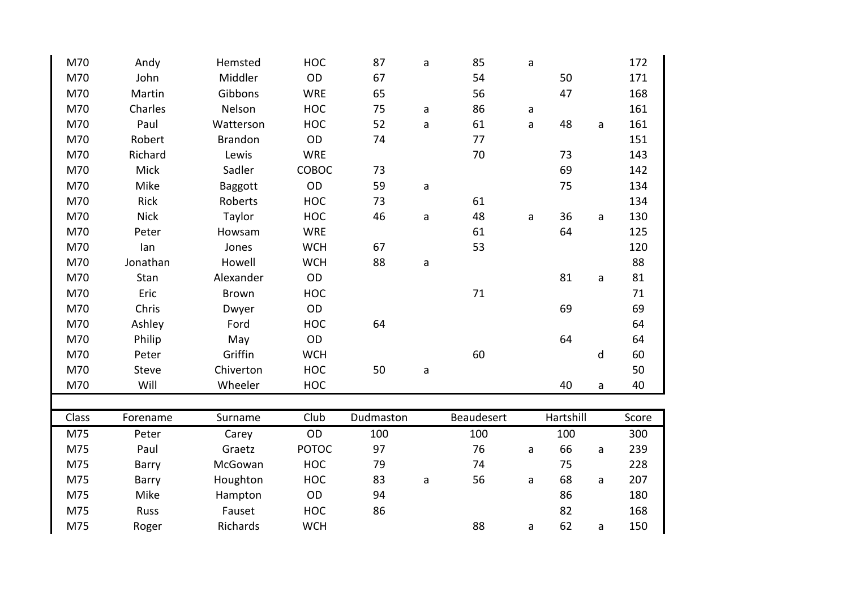| M70   | Andy        | Hemsted        | <b>HOC</b>   | 87        | a | 85         | a            |           |   | 172   |
|-------|-------------|----------------|--------------|-----------|---|------------|--------------|-----------|---|-------|
| M70   | John        | Middler        | OD           | 67        |   | 54         |              | 50        |   | 171   |
| M70   | Martin      | Gibbons        | <b>WRE</b>   | 65        |   | 56         |              | 47        |   | 168   |
| M70   | Charles     | Nelson         | <b>HOC</b>   | 75        | a | 86         | $\mathsf{a}$ |           |   | 161   |
| M70   | Paul        | Watterson      | <b>HOC</b>   | 52        | a | 61         | $\mathsf{a}$ | 48        | a | 161   |
| M70   | Robert      | <b>Brandon</b> | OD           | 74        |   | 77         |              |           |   | 151   |
| M70   | Richard     | Lewis          | <b>WRE</b>   |           |   | 70         |              | 73        |   | 143   |
| M70   | Mick        | Sadler         | COBOC        | 73        |   |            |              | 69        |   | 142   |
| M70   | Mike        | Baggott        | OD           | 59        | a |            |              | 75        |   | 134   |
| M70   | Rick        | Roberts        | <b>HOC</b>   | 73        |   | 61         |              |           |   | 134   |
| M70   | <b>Nick</b> | Taylor         | <b>HOC</b>   | 46        | a | 48         | a            | 36        | a | 130   |
| M70   | Peter       | Howsam         | <b>WRE</b>   |           |   | 61         |              | 64        |   | 125   |
| M70   | lan         | Jones          | <b>WCH</b>   | 67        |   | 53         |              |           |   | 120   |
| M70   | Jonathan    | Howell         | <b>WCH</b>   | 88        | a |            |              |           |   | 88    |
| M70   | Stan        | Alexander      | OD           |           |   |            |              | 81        | a | 81    |
| M70   | Eric        | <b>Brown</b>   | <b>HOC</b>   |           |   | 71         |              |           |   | 71    |
| M70   | Chris       | Dwyer          | <b>OD</b>    |           |   |            |              | 69        |   | 69    |
| M70   | Ashley      | Ford           | <b>HOC</b>   | 64        |   |            |              |           |   | 64    |
| M70   | Philip      | May            | OD           |           |   |            |              | 64        |   | 64    |
| M70   | Peter       | Griffin        | <b>WCH</b>   |           |   | 60         |              |           | d | 60    |
| M70   | Steve       | Chiverton      | <b>HOC</b>   | 50        | a |            |              |           |   | 50    |
| M70   | Will        | Wheeler        | HOC          |           |   |            |              | 40        | a | 40    |
|       |             |                |              |           |   |            |              |           |   |       |
| Class | Forename    | Surname        | Club         | Dudmaston |   | Beaudesert |              | Hartshill |   | Score |
| M75   | Peter       | Carey          | OD           | 100       |   | 100        |              | 100       |   | 300   |
| M75   | Paul        | Graetz         | <b>POTOC</b> | 97        |   | 76         | a            | 66        | a | 239   |
| M75   | Barry       | McGowan        | <b>HOC</b>   | 79        |   | 74         |              | 75        |   | 228   |
| M75   | Barry       | Houghton       | <b>HOC</b>   | 83        | a | 56         | $\mathsf{a}$ | 68        | a | 207   |
| M75   | Mike        | Hampton        | OD           | 94        |   |            |              | 86        |   | 180   |
| M75   | Russ        | Fauset         | HOC          | 86        |   |            |              | 82        |   | 168   |
| M75   | Roger       | Richards       | <b>WCH</b>   |           |   | 88         | a            | 62        | a | 150   |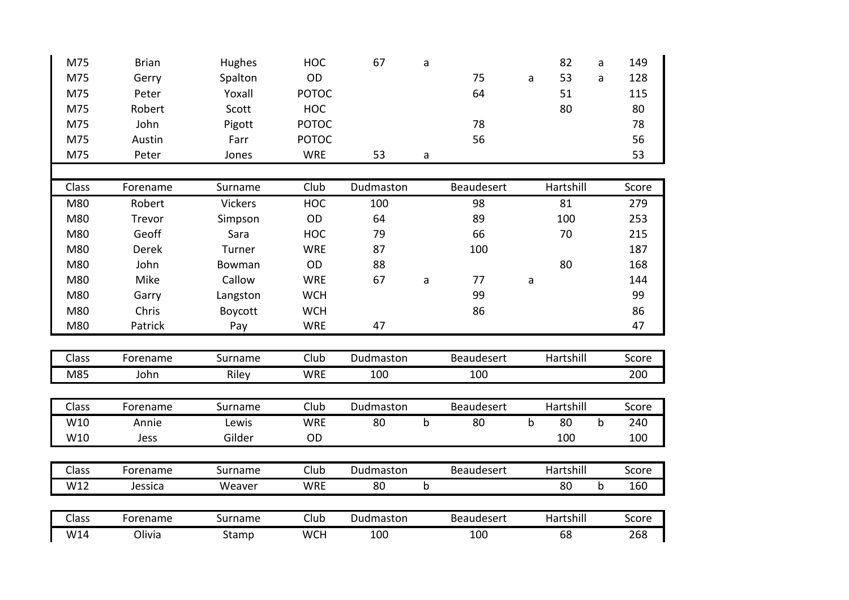| M75   | <b>Brian</b> | Hughes         | <b>HOC</b>   | 67        | a           |            |             | 82        | a           | 149   |
|-------|--------------|----------------|--------------|-----------|-------------|------------|-------------|-----------|-------------|-------|
| M75   | Gerry        | Spalton        | OD           |           |             | 75         | a           | 53        | a           | 128   |
| M75   | Peter        | Yoxall         | <b>POTOC</b> |           |             | 64         |             | 51        |             | 115   |
| M75   | Robert       | Scott          | <b>HOC</b>   |           |             |            |             | 80        |             | 80    |
| M75   | John         | Pigott         | <b>POTOC</b> |           |             | 78         |             |           |             | 78    |
| M75   | Austin       | Farr           | <b>POTOC</b> |           |             | 56         |             |           |             | 56    |
| M75   | Peter        | Jones          | <b>WRE</b>   | 53        | a           |            |             |           |             | 53    |
|       |              |                |              |           |             |            |             |           |             |       |
| Class | Forename     | Surname        | Club         | Dudmaston |             | Beaudesert |             | Hartshill |             | Score |
| M80   | Robert       | <b>Vickers</b> | <b>HOC</b>   | 100       |             | 98         |             | 81        |             | 279   |
| M80   | Trevor       | Simpson        | OD           | 64        |             | 89         |             | 100       |             | 253   |
| M80   | Geoff        | Sara           | <b>HOC</b>   | 79        |             | 66         |             | 70        |             | 215   |
| M80   | Derek        | Turner         | <b>WRE</b>   | 87        |             | 100        |             |           |             | 187   |
| M80   | John         | Bowman         | OD           | 88        |             |            |             | 80        |             | 168   |
| M80   | Mike         | Callow         | <b>WRE</b>   | 67        | a           | 77         | a           |           |             | 144   |
| M80   | Garry        | Langston       | <b>WCH</b>   |           |             | 99         |             |           |             | 99    |
| M80   | Chris        | Boycott        | <b>WCH</b>   |           |             | 86         |             |           |             | 86    |
| M80   | Patrick      | Pay            | <b>WRE</b>   | 47        |             |            |             |           |             | 47    |
|       |              |                |              |           |             |            |             |           |             |       |
| Class | Forename     | Surname        | Club         | Dudmaston |             | Beaudesert |             | Hartshill |             | Score |
| M85   | John         | Riley          | <b>WRE</b>   | 100       |             | 100        |             |           |             | 200   |
|       |              |                |              |           |             |            |             |           |             |       |
| Class | Forename     | Surname        | Club         | Dudmaston |             | Beaudesert |             | Hartshill |             | Score |
| W10   | Annie        | Lewis          | <b>WRE</b>   | 80        | $\mathsf b$ | 80         | $\mathsf b$ | 80        | $\mathsf b$ | 240   |
| W10   | Jess         | Gilder         | OD           |           |             |            |             | 100       |             | 100   |
|       |              |                |              |           |             |            |             |           |             |       |
| Class | Forename     | Surname        | Club         | Dudmaston |             | Beaudesert |             | Hartshill |             | Score |
| W12   | Jessica      | Weaver         | <b>WRE</b>   | 80        | $\mathsf b$ |            |             | 80        | $\mathsf b$ | 160   |
|       |              |                |              |           |             |            |             |           |             |       |
| Class | Forename     | Surname        | Club         | Dudmaston |             | Beaudesert |             | Hartshill |             | Score |
| W14   | Olivia       | Stamp          | <b>WCH</b>   | 100       |             | 100        |             | 68        |             | 268   |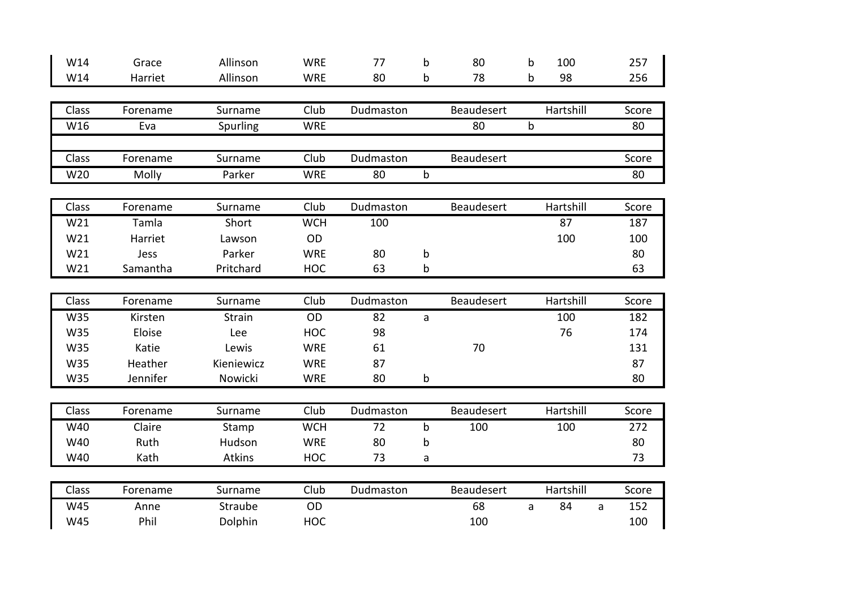| W14   | Grace    | Allinson      | <b>WRE</b> | 77        | b           | 80                | b           | 100       |   | 257   |
|-------|----------|---------------|------------|-----------|-------------|-------------------|-------------|-----------|---|-------|
| W14   | Harriet  | Allinson      | <b>WRE</b> | 80        | b           | 78                | b           | 98        |   | 256   |
|       |          |               |            |           |             |                   |             |           |   |       |
| Class | Forename | Surname       | Club       | Dudmaston |             | <b>Beaudesert</b> |             | Hartshill |   | Score |
| W16   | Eva      | Spurling      | <b>WRE</b> |           |             | 80                | $\mathsf b$ |           |   | 80    |
|       |          |               |            |           |             |                   |             |           |   |       |
| Class | Forename | Surname       | Club       | Dudmaston |             | Beaudesert        |             |           |   | Score |
| W20   | Molly    | Parker        | <b>WRE</b> | 80        | b           |                   |             |           |   | 80    |
|       |          |               |            |           |             |                   |             |           |   |       |
| Class | Forename | Surname       | Club       | Dudmaston |             | <b>Beaudesert</b> |             | Hartshill |   | Score |
| W21   | Tamla    | Short         | <b>WCH</b> | 100       |             |                   |             | 87        |   | 187   |
| W21   | Harriet  | Lawson        | OD         |           |             |                   |             | 100       |   | 100   |
| W21   | Jess     | Parker        | <b>WRE</b> | 80        | b           |                   |             |           |   | 80    |
| W21   | Samantha | Pritchard     | <b>HOC</b> | 63        | $\mathsf b$ |                   |             |           |   | 63    |
|       |          |               |            |           |             |                   |             |           |   |       |
| Class | Forename | Surname       | Club       | Dudmaston |             | <b>Beaudesert</b> |             | Hartshill |   | Score |
|       |          |               |            |           |             |                   |             |           |   |       |
| W35   | Kirsten  | <b>Strain</b> | OD         | 82        | a           |                   |             | 100       |   | 182   |
| W35   | Eloise   | Lee           | <b>HOC</b> | 98        |             |                   |             | 76        |   | 174   |
| W35   | Katie    | Lewis         | <b>WRE</b> | 61        |             | 70                |             |           |   | 131   |
| W35   | Heather  | Kieniewicz    | <b>WRE</b> | 87        |             |                   |             |           |   | 87    |
| W35   | Jennifer | Nowicki       | <b>WRE</b> | 80        | b           |                   |             |           |   | 80    |
|       |          |               |            |           |             |                   |             |           |   |       |
| Class | Forename | Surname       | Club       | Dudmaston |             | Beaudesert        |             | Hartshill |   | Score |
| W40   | Claire   | Stamp         | <b>WCH</b> | 72        | b           | 100               |             | 100       |   | 272   |
| W40   | Ruth     | Hudson        | <b>WRE</b> | 80        | b           |                   |             |           |   | 80    |
| W40   | Kath     | Atkins        | <b>HOC</b> | 73        | а           |                   |             |           |   | 73    |
|       |          |               |            |           |             |                   |             |           |   |       |
| Class | Forename | Surname       | Club       | Dudmaston |             | Beaudesert        |             | Hartshill |   | Score |
| W45   | Anne     | Straube       | OD         |           |             | 68                | a           | 84        | a | 152   |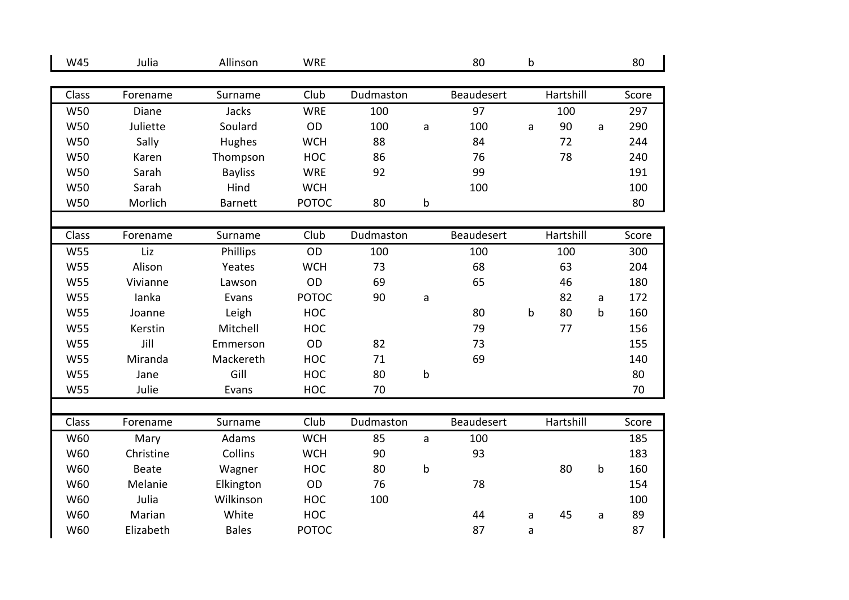| W45        | Julia        | Allinson       | <b>WRE</b>   |           |   | 80                | b |           |              | 80    |
|------------|--------------|----------------|--------------|-----------|---|-------------------|---|-----------|--------------|-------|
|            |              |                |              |           |   |                   |   |           |              |       |
| Class      | Forename     | Surname        | Club         | Dudmaston |   | <b>Beaudesert</b> |   | Hartshill |              | Score |
| W50        | Diane        | Jacks          | <b>WRE</b>   | 100       |   | 97                |   | 100       |              | 297   |
| W50        | Juliette     | Soulard        | OD           | 100       | a | 100               | a | 90        | a            | 290   |
| W50        | Sally        | Hughes         | <b>WCH</b>   | 88        |   | 84                |   | 72        |              | 244   |
| W50        | Karen        | Thompson       | <b>HOC</b>   | 86        |   | 76                |   | 78        |              | 240   |
| <b>W50</b> | Sarah        | <b>Bayliss</b> | <b>WRE</b>   | 92        |   | 99                |   |           |              | 191   |
| <b>W50</b> | Sarah        | Hind           | <b>WCH</b>   |           |   | 100               |   |           |              | 100   |
| W50        | Morlich      | <b>Barnett</b> | <b>POTOC</b> | 80        | b |                   |   |           |              | 80    |
|            |              |                |              |           |   |                   |   |           |              |       |
| Class      | Forename     | Surname        | Club         | Dudmaston |   | <b>Beaudesert</b> |   | Hartshill |              | Score |
| <b>W55</b> | Liz          | Phillips       | <b>OD</b>    | 100       |   | 100               |   | 100       |              | 300   |
| <b>W55</b> | Alison       | Yeates         | <b>WCH</b>   | 73        |   | 68                |   | 63        |              | 204   |
| <b>W55</b> | Vivianne     | Lawson         | OD           | 69        |   | 65                |   | 46        |              | 180   |
| <b>W55</b> | lanka        | Evans          | <b>POTOC</b> | 90        | a |                   |   | 82        | a            | 172   |
| W55        | Joanne       | Leigh          | <b>HOC</b>   |           |   | 80                | b | 80        | $\mathsf{b}$ | 160   |
| <b>W55</b> | Kerstin      | Mitchell       | HOC          |           |   | 79                |   | 77        |              | 156   |
| <b>W55</b> | Jill         | Emmerson       | <b>OD</b>    | 82        |   | 73                |   |           |              | 155   |
| <b>W55</b> | Miranda      | Mackereth      | <b>HOC</b>   | 71        |   | 69                |   |           |              | 140   |
| <b>W55</b> | Jane         | Gill           | <b>HOC</b>   | 80        | b |                   |   |           |              | 80    |
| W55        | Julie        | Evans          | HOC          | 70        |   |                   |   |           |              | 70    |
|            |              |                |              |           |   |                   |   |           |              |       |
| Class      | Forename     | Surname        | Club         | Dudmaston |   | Beaudesert        |   | Hartshill |              | Score |
| W60        | Mary         | Adams          | <b>WCH</b>   | 85        | a | 100               |   |           |              | 185   |
| W60        | Christine    | Collins        | <b>WCH</b>   | 90        |   | 93                |   |           |              | 183   |
| W60        | <b>Beate</b> | Wagner         | HOC          | 80        | b |                   |   | 80        | $\mathsf b$  | 160   |
| W60        | Melanie      | Elkington      | <b>OD</b>    | 76        |   | 78                |   |           |              | 154   |
| W60        | Julia        | Wilkinson      | HOC          | 100       |   |                   |   |           |              | 100   |
| W60        | Marian       | White          | <b>HOC</b>   |           |   | 44                | a | 45        | a            | 89    |
| W60        | Elizabeth    | <b>Bales</b>   | <b>POTOC</b> |           |   | 87                | a |           |              | 87    |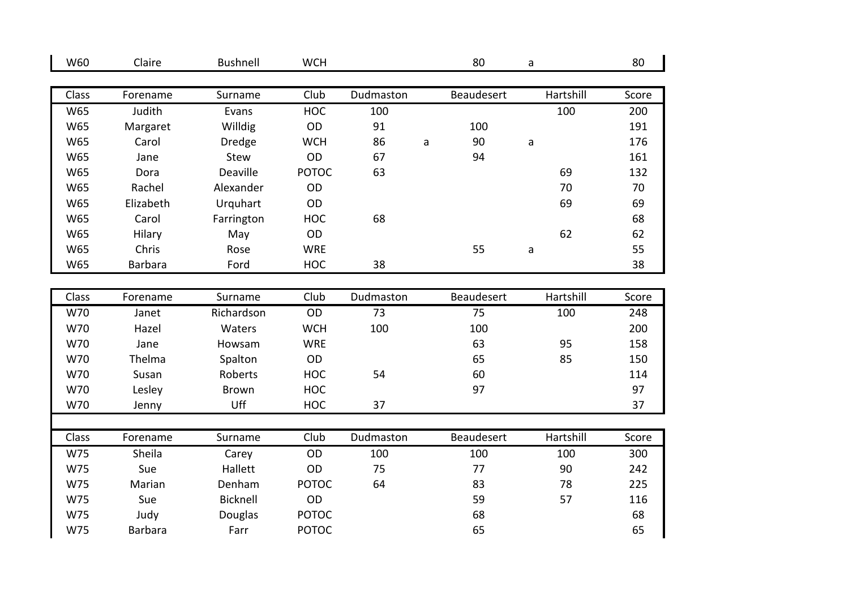| W60   | Claire         | <b>Bushnell</b> | <b>WCH</b>   |           |   | 80                | a         | 80    |
|-------|----------------|-----------------|--------------|-----------|---|-------------------|-----------|-------|
|       |                |                 |              |           |   |                   |           |       |
| Class | Forename       | Surname         | Club         | Dudmaston |   | Beaudesert        | Hartshill | Score |
| W65   | Judith         | Evans           | <b>HOC</b>   | 100       |   |                   | 100       | 200   |
| W65   | Margaret       | Willdig         | OD           | 91        |   | 100               |           | 191   |
| W65   | Carol          | Dredge          | <b>WCH</b>   | 86        | a | 90                | a         | 176   |
| W65   | Jane           | Stew            | OD           | 67        |   | 94                |           | 161   |
| W65   | Dora           | Deaville        | <b>POTOC</b> | 63        |   |                   | 69        | 132   |
| W65   | Rachel         | Alexander       | OD           |           |   |                   | 70        | 70    |
| W65   | Elizabeth      | Urquhart        | OD           |           |   |                   | 69        | 69    |
| W65   | Carol          | Farrington      | <b>HOC</b>   | 68        |   |                   |           | 68    |
| W65   | Hilary         | May             | OD           |           |   |                   | 62        | 62    |
| W65   | Chris          | Rose            | <b>WRE</b>   |           |   | 55                | a         | 55    |
| W65   | <b>Barbara</b> | Ford            | HOC          | 38        |   |                   |           | 38    |
|       |                |                 |              |           |   |                   |           |       |
| Class | Forename       | Surname         | Club         | Dudmaston |   | <b>Beaudesert</b> | Hartshill | Score |
| W70   | Janet          | Richardson      | <b>OD</b>    | 73        |   | 75                | 100       | 248   |
| W70   | Hazel          | Waters          | <b>WCH</b>   | 100       |   | 100               |           | 200   |
| W70   | Jane           | Howsam          | <b>WRE</b>   |           |   | 63                | 95        | 158   |
| W70   | Thelma         | Spalton         | OD           |           |   | 65                | 85        | 150   |
| W70   | Susan          | Roberts         | <b>HOC</b>   | 54        |   | 60                |           | 114   |
| W70   | Lesley         | Brown           | <b>HOC</b>   |           |   | 97                |           | 97    |
| W70   | Jenny          | Uff             | <b>HOC</b>   | 37        |   |                   |           | 37    |
|       |                |                 |              |           |   |                   |           |       |
| Class | Forename       | Surname         | Club         | Dudmaston |   | Beaudesert        | Hartshill | Score |
| W75   | Sheila         | Carey           | OD           | 100       |   | 100               | 100       | 300   |
| W75   | Sue            | Hallett         | OD           | 75        |   | 77                | 90        | 242   |
| W75   | Marian         | Denham          | <b>POTOC</b> | 64        |   | 83                | 78        | 225   |
| W75   | Sue            | <b>Bicknell</b> | OD           |           |   | 59                | 57        | 116   |
| W75   | Judy           | Douglas         | <b>POTOC</b> |           |   | 68                |           | 68    |
| W75   | <b>Barbara</b> | Farr            | <b>POTOC</b> |           |   | 65                |           | 65    |